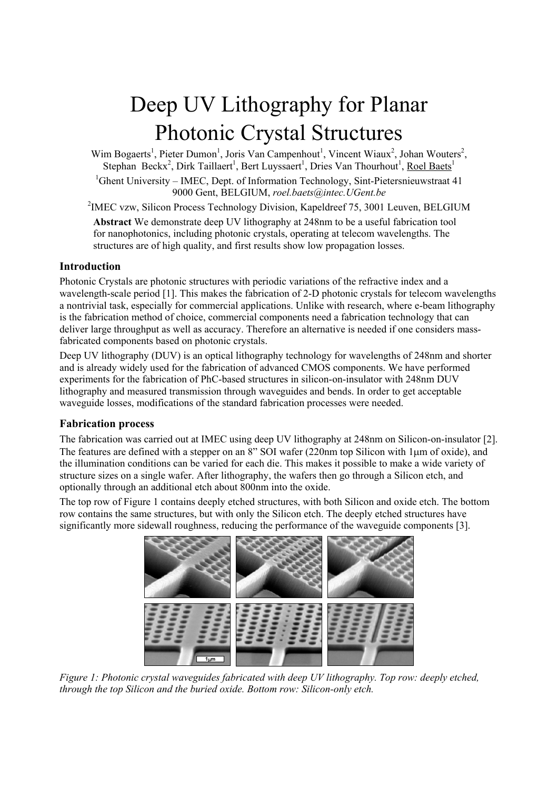# Deep UV Lithography for Planar Photonic Crystal Structures

Wim Bogaerts<sup>1</sup>, Pieter Dumon<sup>1</sup>, Joris Van Campenhout<sup>1</sup>, Vincent Wiaux<sup>2</sup>, Johan Wouters<sup>2</sup>, Stephan Beckx<sup>2</sup>, Dirk Taillaert<sup>1</sup>, Bert Luyssaert<sup>1</sup>, Dries Van Thourhout<sup>1</sup>, Roel Baets<sup>1</sup> <sup>1</sup>Ghent University – IMEC, Dept. of Information Technology, Sint-Pietersnieuwstraat 41 9000 Gent, BELGIUM, *roel.baets@intec.UGent.be*

<sup>2</sup>IMEC vzw, Silicon Process Technology Division, Kapeldreef 75, 3001 Leuven, BELGIUM

**Abstract** We demonstrate deep UV lithography at 248nm to be a useful fabrication tool for nanophotonics, including photonic crystals, operating at telecom wavelengths. The structures are of high quality, and first results show low propagation losses.

## **Introduction**

Photonic Crystals are photonic structures with periodic variations of the refractive index and a wavelength-scale period [1]. This makes the fabrication of 2-D photonic crystals for telecom wavelengths a nontrivial task, especially for commercial applications. Unlike with research, where e-beam lithography is the fabrication method of choice, commercial components need a fabrication technology that can deliver large throughput as well as accuracy. Therefore an alternative is needed if one considers massfabricated components based on photonic crystals.

Deep UV lithography (DUV) is an optical lithography technology for wavelengths of 248nm and shorter and is already widely used for the fabrication of advanced CMOS components. We have performed experiments for the fabrication of PhC-based structures in silicon-on-insulator with 248nm DUV lithography and measured transmission through waveguides and bends. In order to get acceptable waveguide losses, modifications of the standard fabrication processes were needed.

# **Fabrication process**

The fabrication was carried out at IMEC using deep UV lithography at 248nm on Silicon-on-insulator [2]. The features are defined with a stepper on an 8" SOI wafer (220nm top Silicon with 1µm of oxide), and the illumination conditions can be varied for each die. This makes it possible to make a wide variety of structure sizes on a single wafer. After lithography, the wafers then go through a Silicon etch, and optionally through an additional etch about 800nm into the oxide.

The top row of Figure 1 contains deeply etched structures, with both Silicon and oxide etch. The bottom row contains the same structures, but with only the Silicon etch. The deeply etched structures have significantly more sidewall roughness, reducing the performance of the waveguide components [3].



*Figure 1: Photonic crystal waveguides fabricated with deep UV lithography. Top row: deeply etched, through the top Silicon and the buried oxide. Bottom row: Silicon-only etch.*